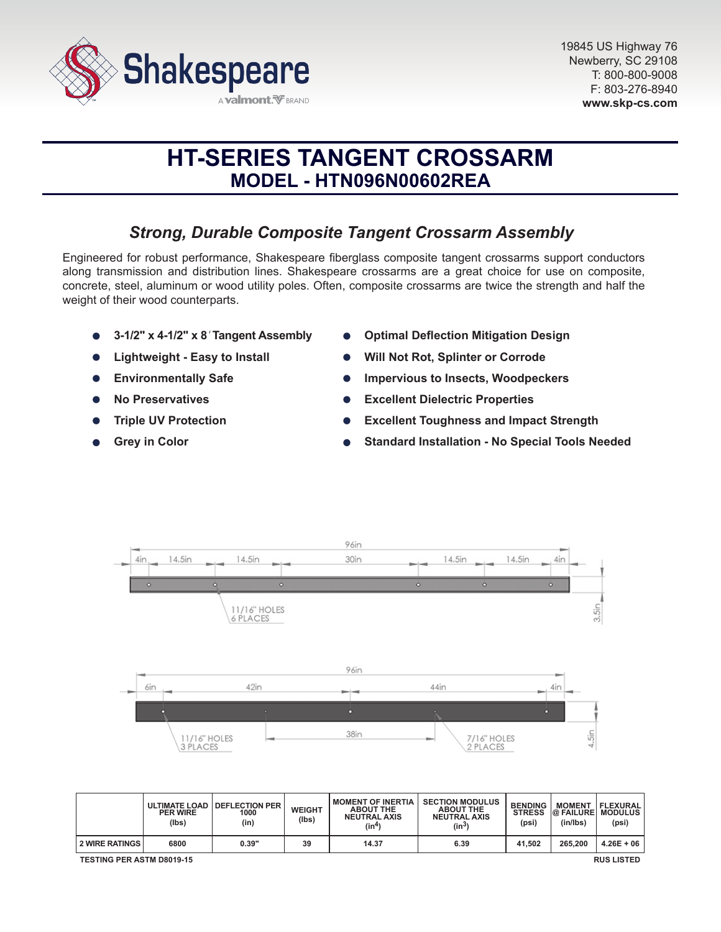

# **HT-SERIES TANGENT CROSSARM MODEL - HTN096N00602REA**

# *Strong, Durable Composite Tangent Crossarm Assembly*

Engineered for robust performance, Shakespeare fiberglass composite tangent crossarms support conductors along transmission and distribution lines. Shakespeare crossarms are a great choice for use on composite, concrete, steel, aluminum or wood utility poles. Often, composite crossarms are twice the strength and half the weight of their wood counterparts.

- **3-1/2" x 4-1/2" x 8***'* **Tangent Assembly**
- **Lightweight Easy to Install**
- **Environmentally Safe**  $\bullet$
- **No Preservatives**
- **Triple UV Protection**
- **Grey in Color**
- **Optimal Deflection Mitigation Design**
- **Will Not Rot, Splinter or Corrode**
- **Impervious to Insects, Woodpeckers**
- **Excellent Dielectric Properties**
- **Excellent Toughness and Impact Strength**
- **Standard Installation No Special Tools Needed**



|                                                       | <b>PER WIRE</b><br>(lbs) | ULTIMATE LOAD   DEFLECTION PER<br>1000<br>(in) | <b>WEIGHT</b><br>(Ibs) | <b>I MOMENT OF INERTIA</b><br><b>ABOUT THE</b><br><b>NEUTRAL AXIS</b><br>(in4) | <b>SECTION MODULUS</b><br><b>ABOUT THE</b><br><b>NEUTRAL AXIS</b><br>$(in^3)$ | <b>BENDING</b><br><b>STRESS</b><br>(psi) | <b>MOMENT</b><br><b>@ FAILURE MODULUS</b><br>(in/lbs) | FLEXURAL<br>(psi) |
|-------------------------------------------------------|--------------------------|------------------------------------------------|------------------------|--------------------------------------------------------------------------------|-------------------------------------------------------------------------------|------------------------------------------|-------------------------------------------------------|-------------------|
| <b>2 WIRE RATINGS</b>                                 | 6800                     | 0.39"                                          | 39                     | 14.37                                                                          | 6.39                                                                          | 41.502                                   | 265,200                                               | $4.26E + 06$      |
| <b>TESTING PER ASTM D8019-15</b><br><b>RUS LISTED</b> |                          |                                                |                        |                                                                                |                                                                               |                                          |                                                       |                   |